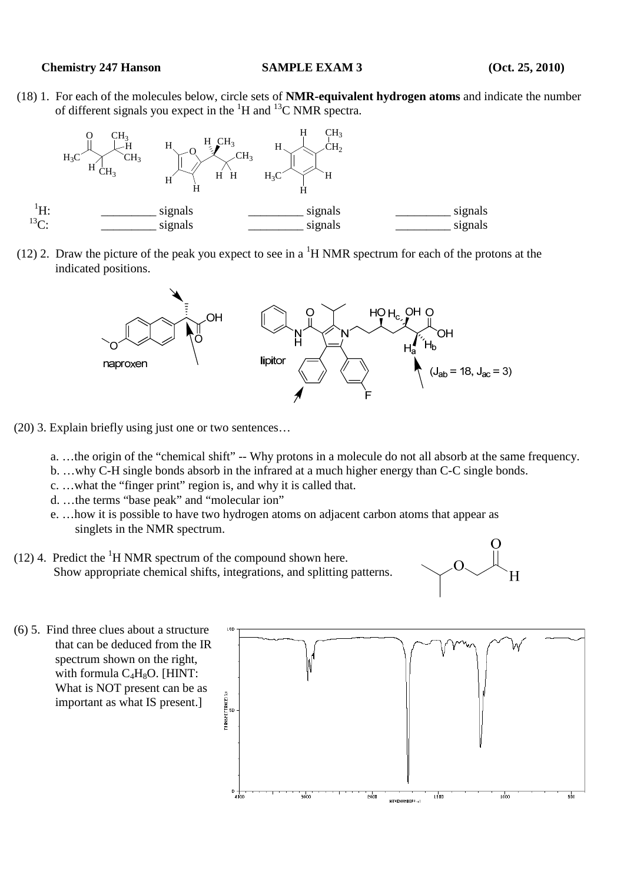## **Chemistry 247 Hanson SAMPLE EXAM 3** (Oct. 25, 2010)

 (18) 1. For each of the molecules below, circle sets of **NMR-equivalent hydrogen atoms** and indicate the number of different signals you expect in the  ${}^{1}H$  and  ${}^{13}C$  NMR spectra.



(12) 2. Draw the picture of the peak you expect to see in a  ${}^{1}H$  NMR spectrum for each of the protons at the indicated positions.



- (20) 3. Explain briefly using just one or two sentences…
	- a. …the origin of the "chemical shift" -- Why protons in a molecule do not all absorb at the same frequency.
	- b. …why C-H single bonds absorb in the infrared at a much higher energy than C-C single bonds.
	- c. …what the "finger print" region is, and why it is called that.
	- d. …the terms "base peak" and "molecular ion"
	- e. …how it is possible to have two hydrogen atoms on adjacent carbon atoms that appear as singlets in the NMR spectrum.
- (12) 4. Predict the  ${}^{1}$ H NMR spectrum of the compound shown here. Show appropriate chemical shifts, integrations, and splitting patterns.



(6) 5. Find three clues about a structure that can be deduced from the IR spectrum shown on the right, with formula  $C_4H_8O$ . [HINT: What is NOT present can be as RANSMITTANCEIX<br>A important as what IS present.]  $0 + \frac{1}{4000}$  $\frac{1}{2000}$  $2000$  $\frac{1}{1500}$  $\frac{1}{1000}$  $\overline{\phantom{a}}$ HAVENUMBER (~)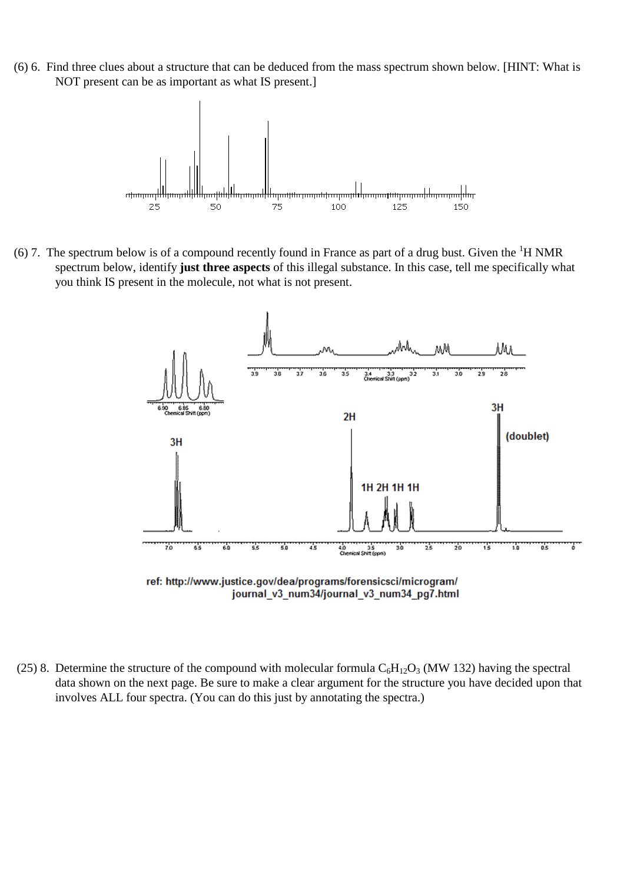(6) 6. Find three clues about a structure that can be deduced from the mass spectrum shown below. [HINT: What is NOT present can be as important as what IS present.]



(6) 7. The spectrum below is of a compound recently found in France as part of a drug bust. Given the  ${}^{1}H$  NMR spectrum below, identify **just three aspects** of this illegal substance. In this case, tell me specifically what you think IS present in the molecule, not what is not present.



- journal v3 num34/journal v3 num34 pg7.html
- (25) 8. Determine the structure of the compound with molecular formula  $C_6H_{12}O_3$  (MW 132) having the spectral data shown on the next page. Be sure to make a clear argument for the structure you have decided upon that involves ALL four spectra. (You can do this just by annotating the spectra.)